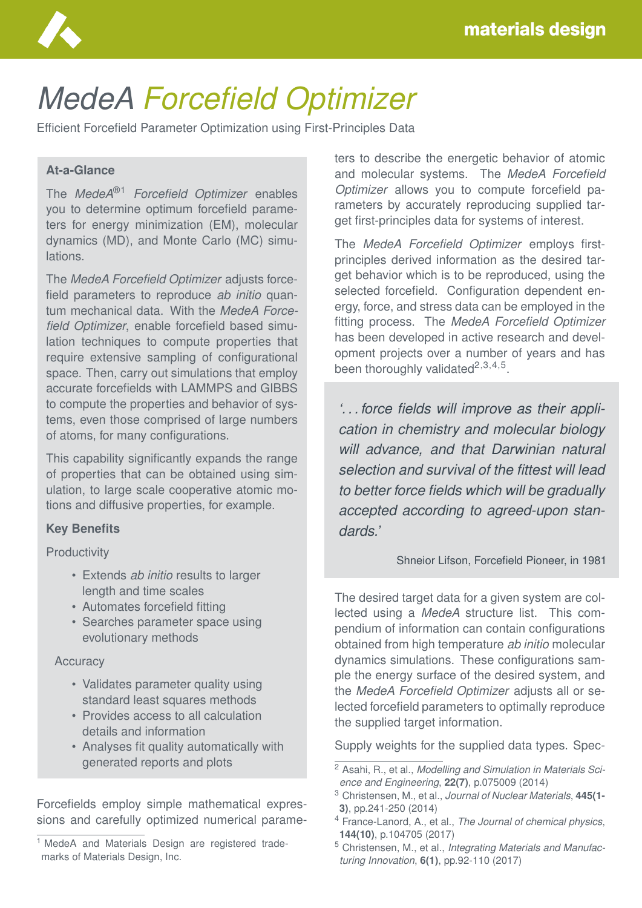

# *MedeA Forcefield Optimizer*

Efficient Forcefield Parameter Optimization using First-Principles Data

### **At-a-Glance**

The *MedeA*®1 *Forcefield Optimizer* enables you to determine optimum forcefield parameters for energy minimization (EM), molecular dynamics (MD), and Monte Carlo (MC) simulations.

The *MedeA Forcefield Optimizer* adjusts forcefield parameters to reproduce *ab initio* quantum mechanical data. With the *MedeA Forcefield Optimizer*, enable forcefield based simulation techniques to compute properties that require extensive sampling of configurational space. Then, carry out simulations that employ accurate forcefields with LAMMPS and GIBBS to compute the properties and behavior of systems, even those comprised of large numbers of atoms, for many configurations.

This capability significantly expands the range of properties that can be obtained using simulation, to large scale cooperative atomic motions and diffusive properties, for example.

#### **Key Benefits**

**Productivity** 

- Extends *ab initio* results to larger length and time scales
- Automates forcefield fitting
- Searches parameter space using evolutionary methods

#### **Accuracy**

- Validates parameter quality using standard least squares methods
- Provides access to all calculation details and information
- Analyses fit quality automatically with generated reports and plots

Forcefields employ simple mathematical expressions and carefully optimized numerical parameters to describe the energetic behavior of atomic and molecular systems. The *MedeA Forcefield Optimizer* allows you to compute forcefield parameters by accurately reproducing supplied target first-principles data for systems of interest.

The *MedeA Forcefield Optimizer* employs firstprinciples derived information as the desired target behavior which is to be reproduced, using the selected forcefield. Configuration dependent energy, force, and stress data can be employed in the fitting process. The *MedeA Forcefield Optimizer* has been developed in active research and development projects over a number of years and has been thoroughly validated $^{2,3,4,5}$ .

*'. . . force fields will improve as their application in chemistry and molecular biology will advance, and that Darwinian natural selection and survival of the fittest will lead to better force fields which will be gradually accepted according to agreed-upon standards.'*

Shneior Lifson, Forcefield Pioneer, in 1981

The desired target data for a given system are collected using a *MedeA* structure list. This compendium of information can contain configurations obtained from high temperature *ab initio* molecular dynamics simulations. These configurations sample the energy surface of the desired system, and the *MedeA Forcefield Optimizer* adjusts all or selected forcefield parameters to optimally reproduce the supplied target information.

Supply weights for the supplied data types. Spec-

<sup>&</sup>lt;sup>1</sup> MedeA and Materials Design are registered trademarks of Materials Design, Inc.

<sup>2</sup> Asahi, R., et al., *Modelling and Simulation in Materials Science and Engineering*, **22(7)**, p.075009 (2014)

<sup>3</sup> Christensen, M., et al., *Journal of Nuclear Materials*, **445(1- 3)**, pp.241-250 (2014)

<sup>4</sup> France-Lanord, A., et al., *The Journal of chemical physics*, **144(10)**, p.104705 (2017)

<sup>5</sup> Christensen, M., et al., *Integrating Materials and Manufacturing Innovation*, **6(1)**, pp.92-110 (2017)